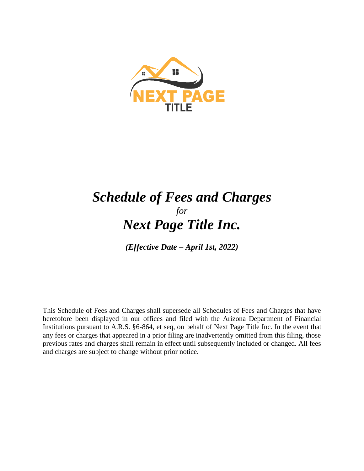

# *Schedule of Fees and Charges for Next Page Title Inc.*

*(Effective Date – April 1st, 2022)*

This Schedule of Fees and Charges shall supersede all Schedules of Fees and Charges that have heretofore been displayed in our offices and filed with the Arizona Department of Financial Institutions pursuant to A.R.S. §6-864, et seq, on behalf of Next Page Title Inc. In the event that any fees or charges that appeared in a prior filing are inadvertently omitted from this filing, those previous rates and charges shall remain in effect until subsequently included or changed. All fees and charges are subject to change without prior notice.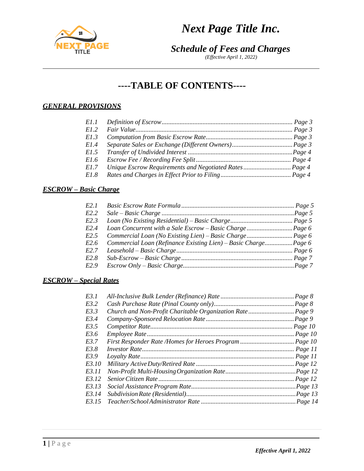

*(Effective April 1, 2022)*

# **----TABLE OF CONTENTS----**

# *GENERAL PROVISIONS*

| E1.2                                                           |  |
|----------------------------------------------------------------|--|
|                                                                |  |
| E1.3                                                           |  |
| E1.4                                                           |  |
| E1.5                                                           |  |
| E1.6                                                           |  |
| Unique Escrow Requirements and Negotiated Rates Page 4<br>E1.7 |  |
| E1.8                                                           |  |

## *ESCROW – Basic Charge*

| E2.1             |  |
|------------------|--|
| E2.2             |  |
| E2.3             |  |
| E <sub>2.4</sub> |  |
| E2.5             |  |
| E2.6             |  |
| E2.7             |  |
| E2.8             |  |
| E2.9             |  |

### *ESCROW – Special Rates*

| E3.2<br>E3.3<br>E3.4<br>E3.5<br>E3.6<br>E3.7<br>E3.8<br>E3.9<br>E3.10<br>E3.11<br>E3.12<br>E3.13<br>E3.15 | E3.1  |  |
|-----------------------------------------------------------------------------------------------------------|-------|--|
|                                                                                                           |       |  |
|                                                                                                           |       |  |
|                                                                                                           |       |  |
|                                                                                                           |       |  |
|                                                                                                           |       |  |
|                                                                                                           |       |  |
|                                                                                                           |       |  |
|                                                                                                           |       |  |
|                                                                                                           |       |  |
|                                                                                                           |       |  |
|                                                                                                           |       |  |
|                                                                                                           |       |  |
|                                                                                                           | E3.14 |  |
|                                                                                                           |       |  |

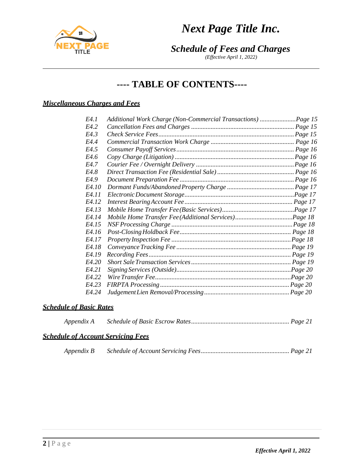



*(Effective April 1, 2022)*

# **---- TABLE OF CONTENTS----**

# *Miscellaneous Charges and Fees*

| <i>EA.1</i>       | Additional Work Charge (Non-Commercial Transactions) Page 15 |
|-------------------|--------------------------------------------------------------|
| E4.2              |                                                              |
| <i>EA</i> 3       |                                                              |
| <i>EA.4</i>       |                                                              |
| E4.5              |                                                              |
| <i>E4.6</i>       |                                                              |
| <i>EA.7</i>       |                                                              |
| <i>EA.8</i>       |                                                              |
| E4.9              |                                                              |
| E4.10             |                                                              |
| E4.11             |                                                              |
| <i>EA.12</i>      |                                                              |
| E4.13             |                                                              |
| <i>EA.14</i>      |                                                              |
| E4.15             |                                                              |
| E4.16             |                                                              |
| E4.17             |                                                              |
| E4.18             |                                                              |
| E4.19             |                                                              |
| <i>EA.20</i>      |                                                              |
| E4.21             |                                                              |
| E4.22             |                                                              |
| E4.23             |                                                              |
| F <sub>4</sub> 24 |                                                              |

### *Schedule of Basic Rates*

| Appendix A |  |
|------------|--|
|            |  |

### *Schedule of Account Servicing Fees*

|--|--|--|--|

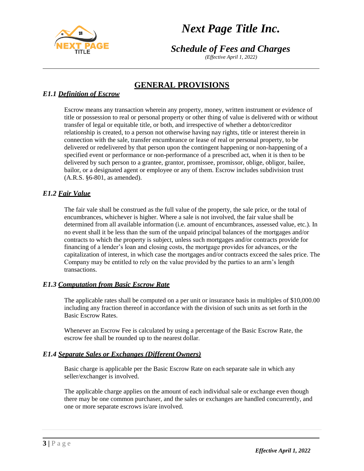

*Schedule of Fees and Charges*

*(Effective April 1, 2022)*

# **GENERAL PROVISIONS**

# *E1.1 Definition of Escrow*

Escrow means any transaction wherein any property, money, written instrument or evidence of title or possession to real or personal property or other thing of value is delivered with or without transfer of legal or equitable title, or both, and irrespective of whether a debtor/creditor relationship is created, to a person not otherwise having nay rights, title or interest therein in connection with the sale, transfer encumbrance or lease of real or personal property, to be delivered or redelivered by that person upon the contingent happening or non-happening of a specified event or performance or non-performance of a prescribed act, when it is then to be delivered by such person to a grantee, grantor, promissee, promissor, oblige, obligor, bailee, bailor, or a designated agent or employee or any of them. Escrow includes subdivision trust (A.R.S. §6-801, as amended).

# *E1.2 Fair Value*

The fair vale shall be construed as the full value of the property, the sale price, or the total of encumbrances, whichever is higher. Where a sale is not involved, the fair value shall be determined from all available information (i.e. amount of encumbrances, assessed value, etc.). In no event shall it be less than the sum of the unpaid principal balances of the mortgages and/or contracts to which the property is subject, unless such mortgages and/or contracts provide for financing of a lender's loan and closing costs, the mortgage provides for advances, or the capitalization of interest, in which case the mortgages and/or contracts exceed the sales price. The Company may be entitled to rely on the value provided by the parties to an arm's length transactions.

## *E1.3 Computation from Basic Escrow Rate*

The applicable rates shall be computed on a per unit or insurance basis in multiples of \$10,000.00 including any fraction thereof in accordance with the division of such units as set forth in the Basic Escrow Rates.

Whenever an Escrow Fee is calculated by using a percentage of the Basic Escrow Rate, the escrow fee shall be rounded up to the nearest dollar.

### *E1.4 Separate Sales or Exchanges (Different Owners)*

Basic charge is applicable per the Basic Escrow Rate on each separate sale in which any seller/exchanger is involved.

The applicable charge applies on the amount of each individual sale or exchange even though there may be one common purchaser, and the sales or exchanges are handled concurrently, and one or more separate escrows is/are involved.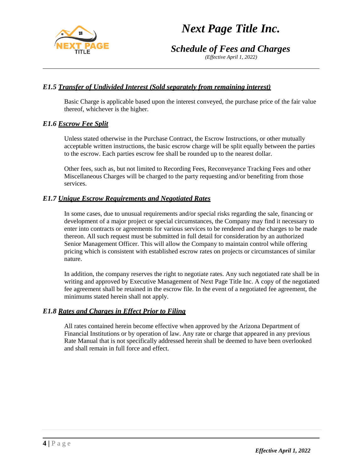



*(Effective April 1, 2022)*

### *E1.5 Transfer of Undivided Interest (Sold separately from remaining interest)*

Basic Charge is applicable based upon the interest conveyed, the purchase price of the fair value thereof, whichever is the higher.

#### *E1.6 Escrow Fee Split*

Unless stated otherwise in the Purchase Contract, the Escrow Instructions, or other mutually acceptable written instructions, the basic escrow charge will be split equally between the parties to the escrow. Each parties escrow fee shall be rounded up to the nearest dollar.

Other fees, such as, but not limited to Recording Fees, Reconveyance Tracking Fees and other Miscellaneous Charges will be charged to the party requesting and/or benefiting from those services.

#### *E1.7 Unique Escrow Requirements and Negotiated Rates*

In some cases, due to unusual requirements and/or special risks regarding the sale, financing or development of a major project or special circumstances, the Company may find it necessary to enter into contracts or agreements for various services to be rendered and the charges to be made thereon. All such request must be submitted in full detail for consideration by an authorized Senior Management Officer. This will allow the Company to maintain control while offering pricing which is consistent with established escrow rates on projects or circumstances of similar nature.

In addition, the company reserves the right to negotiate rates. Any such negotiated rate shall be in writing and approved by Executive Management of Next Page Title Inc. A copy of the negotiated fee agreement shall be retained in the escrow file. In the event of a negotiated fee agreement, the minimums stated herein shall not apply.

### *E1.8 Rates and Charges in Effect Prior to Filing*

All rates contained herein become effective when approved by the Arizona Department of Financial Institutions or by operation of law. Any rate or charge that appeared in any previous Rate Manual that is not specifically addressed herein shall be deemed to have been overlooked and shall remain in full force and effect.



**4 |** P a g e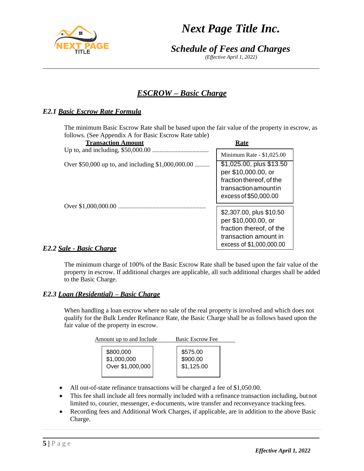

*(Effective April 1, 2022)*

# *ESCROW – Basic Charge*

# *E2.1 Basic Escrow Rate Formula*

The minimum Basic Escrow Rate shall be based upon the fair value of the property in escrow, as follows. (See Appendix A for Basic Escrow Rate table)

| <b>Transaction Amount</b>                         | Rate                                                                                                                          |
|---------------------------------------------------|-------------------------------------------------------------------------------------------------------------------------------|
|                                                   | Minimum Rate - \$1,025.00                                                                                                     |
| Over \$50,000 up to, and including \$1,000,000.00 | \$1,025.00, plus \$13.50<br>per \$10,000.00, or<br>fraction thereof, of the<br>transaction amount in<br>excess of \$50,000.00 |
|                                                   | \$2,307.00, plus \$10.50<br>per \$10,000.00, or<br>fraction thereof, of the<br>transaction amount in                          |
| $L_{ab}$ Davis Chance                             | excess of \$1,000,000.00                                                                                                      |

### *E2.2 Sale - Basic Charge*

The minimum charge of 100% of the Basic Escrow Rate shall be based upon the fair value of the property in escrow. If additional charges are applicable, all such additional charges shall be added to the Basic Charge.

### *E2.3 Loan (Residential) – Basic Charge*

When handling a loan escrow where no sale of the real property is involved and which does not qualify for the Bulk Lender Refinance Rate, the Basic Charge shall be as follows based upon the fair value of the property in escrow.

| Amount up to and Include | <b>Basic Escrow Fee</b> |
|--------------------------|-------------------------|
| \$800,000                | \$575.00                |
| \$1,000,000              | \$900.00                |
| Over \$1,000,000         | \$1,125.00              |

- All out-of-state refinance transactions will be charged a fee of \$1,050.00.
- This fee shall include all fees normally included with a refinance transaction including, butnot limited to, courier, messenger, e-documents, wire transfer and reconveyance tracking fees.
- Recording fees and Additional Work Charges, if applicable, are in addition to the above Basic Charge.

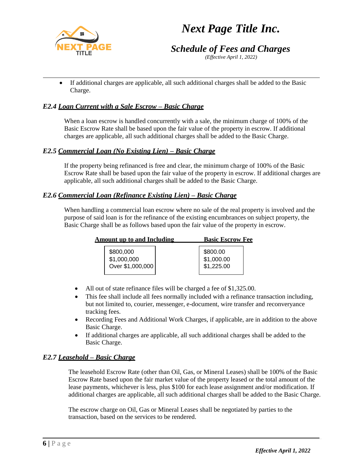

# *Schedule of Fees and Charges*

*(Effective April 1, 2022)*

• If additional charges are applicable, all such additional charges shall be added to the Basic Charge.

### *E2.4 Loan Current with a Sale Escrow – Basic Charge*

When a loan escrow is handled concurrently with a sale, the minimum charge of 100% of the Basic Escrow Rate shall be based upon the fair value of the property in escrow. If additional charges are applicable, all such additional charges shall be added to the Basic Charge.

### *E2.5 Commercial Loan (No Existing Lien) – Basic Charge*

If the property being refinanced is free and clear, the minimum charge of 100% of the Basic Escrow Rate shall be based upon the fair value of the property in escrow. If additional charges are applicable, all such additional charges shall be added to the Basic Charge.

### *E2.6 Commercial Loan (Refinance Existing Lien) – Basic Charge*

When handling a commercial loan escrow where no sale of the real property is involved and the purpose of said loan is for the refinance of the existing encumbrances on subject property, the Basic Charge shall be as follows based upon the fair value of the property in escrow.

| <b>Amount up to and Including</b>             | <b>Basic Escrow Fee</b>              |  |
|-----------------------------------------------|--------------------------------------|--|
| \$800,000<br>$$1,000,000$<br>Over \$1,000,000 | \$800.00<br>\$1,000.00<br>\$1,225.00 |  |

- All out of state refinance files will be charged a fee of \$1,325.00.
- This fee shall include all fees normally included with a refinance transaction including, but not limited to, courier, messenger, e-document, wire transfer and reconveryance tracking fees.
- Recording Fees and Additional Work Charges, if applicable, are in addition to the above Basic Charge.
- If additional charges are applicable, all such additional charges shall be added to the Basic Charge.

### *E2.7 Leasehold – Basic Charge*

The leasehold Escrow Rate (other than Oil, Gas, or Mineral Leases) shall be 100% of the Basic Escrow Rate based upon the fair market value of the property leased or the total amount of the lease payments, whichever is less, plus \$100 for each lease assignment and/or modification. If additional charges are applicable, all such additional charges shall be added to the Basic Charge.

The escrow charge on Oil, Gas or Mineral Leases shall be negotiated by parties to the transaction, based on the services to be rendered.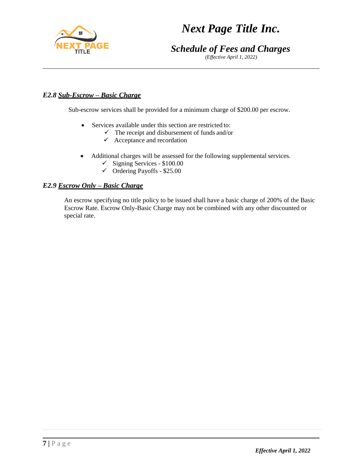

*(Effective April 1, 2022)*

## *E2.8 Sub-Escrow – Basic Charge*

Sub-escrow services shall be provided for a minimum charge of \$200.00 per escrow.

- Services available under this section are restricted to:
	- $\checkmark$  The receipt and disbursement of funds and/or
	- $\checkmark$  Acceptance and recordation
- Additional charges will be assessed for the following supplemental services.
	- $\checkmark$  Signing Services \$100.00
	- $\checkmark$  Ordering Payoffs \$25.00

### *E2.9 Escrow Only – Basic Charge*

An escrow specifying no title policy to be issued shall have a basic charge of 200% of the Basic Escrow Rate. Escrow Only-Basic Charge may not be combined with any other discounted or special rate.

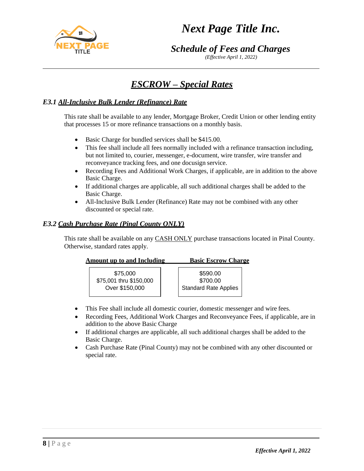

*(Effective April 1, 2022)*

# *ESCROW – Special Rates*

### *E3.1 All-Inclusive Bulk Lender (Refinance) Rate*

This rate shall be available to any lender, Mortgage Broker, Credit Union or other lending entity that processes 15 or more refinance transactions on a monthly basis.

- Basic Charge for bundled services shall be \$415.00.
- This fee shall include all fees normally included with a refinance transaction including, but not limited to, courier, messenger, e-document, wire transfer, wire transfer and reconveyance tracking fees, and one docusign service.
- Recording Fees and Additional Work Charges, if applicable, are in addition to the above Basic Charge.
- If additional charges are applicable, all such additional charges shall be added to the Basic Charge.
- All-Inclusive Bulk Lender (Refinance) Rate may not be combined with any other discounted or special rate.

### *E3.2 Cash Purchase Rate (Pinal County ONLY)*

This rate shall be available on any **CASH ONLY** purchase transactions located in Pinal County. Otherwise, standard rates apply.

| Amount up to and Including |                         |  | <b>Basic Escrow Charge</b>   |  |
|----------------------------|-------------------------|--|------------------------------|--|
|                            | \$75,000                |  | \$590.00                     |  |
|                            | \$75,001 thru \$150,000 |  | \$700.00                     |  |
|                            | Over \$150,000          |  | <b>Standard Rate Applies</b> |  |

- This Fee shall include all domestic courier, domestic messenger and wire fees.
- Recording Fees, Additional Work Charges and Reconveyance Fees, if applicable, are in addition to the above Basic Charge
- If additional charges are applicable, all such additional charges shall be added to the Basic Charge.
- Cash Purchase Rate (Pinal County) may not be combined with any other discounted or special rate.

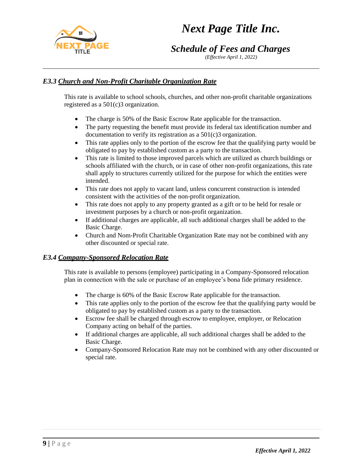

*Schedule of Fees and Charges*

*(Effective April 1, 2022)*

# *E3.3 Church and Non-Profit Charitable Organization Rate*

This rate is available to school schools, churches, and other non-profit charitable organizations registered as a 501(c)3 organization.

- The charge is 50% of the Basic Escrow Rate applicable for the transaction.
- The party requesting the benefit must provide its federal tax identification number and documentation to verify its registration as a 501(c)3 organization.
- This rate applies only to the portion of the escrow fee that the qualifying party would be obligated to pay by established custom as a party to the transaction.
- This rate is limited to those improved parcels which are utilized as church buildings or schools affiliated with the church, or in case of other non-profit organizations, this rate shall apply to structures currently utilized for the purpose for which the entities were intended.
- This rate does not apply to vacant land, unless concurrent construction is intended consistent with the activities of the non-profit organization.
- This rate does not apply to any property granted as a gift or to be held for resale or investment purposes by a church or non-profit organization.
- If additional charges are applicable, all such additional charges shall be added to the Basic Charge.
- Church and Nom-Profit Charitable Organization Rate may not be combined with any other discounted or special rate.

## *E3.4 Company-Sponsored Relocation Rate*

This rate is available to persons (employee) participating in a Company-Sponsored relocation plan in connection with the sale or purchase of an employee's bona fide primary residence.

- The charge is 60% of the Basic Escrow Rate applicable for the transaction.
- This rate applies only to the portion of the escrow fee that the qualifying party would be obligated to pay by established custom as a party to the transaction.
- Escrow fee shall be charged through escrow to employee, employer, or Relocation Company acting on behalf of the parties.
- If additional charges are applicable, all such additional charges shall be added to the Basic Charge.
- Company-Sponsored Relocation Rate may not be combined with any other discounted or special rate.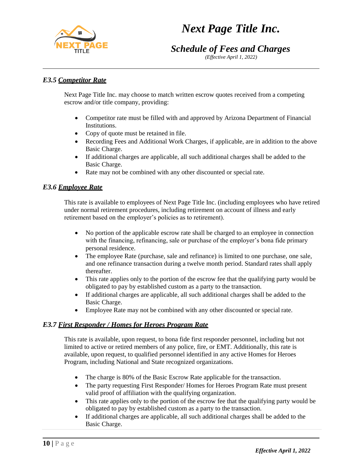# *Schedule of Fees and Charges*

*(Effective April 1, 2022)*

## *E3.5 Competitor Rate*

Next Page Title Inc. may choose to match written escrow quotes received from a competing escrow and/or title company, providing:

- Competitor rate must be filled with and approved by Arizona Department of Financial Institutions.
- Copy of quote must be retained in file.
- Recording Fees and Additional Work Charges, if applicable, are in addition to the above Basic Charge.
- If additional charges are applicable, all such additional charges shall be added to the Basic Charge.
- Rate may not be combined with any other discounted or special rate.

### *E3.6 Employee Rate*

This rate is available to employees of Next Page Title Inc. (including employees who have retired under normal retirement procedures, including retirement on account of illness and early retirement based on the employer's policies as to retirement).

- No portion of the applicable escrow rate shall be charged to an employee in connection with the financing, refinancing, sale or purchase of the employer's bona fide primary personal residence.
- The employee Rate (purchase, sale and refinance) is limited to one purchase, one sale, and one refinance transaction during a twelve month period. Standard rates shall apply thereafter.
- This rate applies only to the portion of the escrow fee that the qualifying party would be obligated to pay by established custom as a party to the transaction.
- If additional charges are applicable, all such additional charges shall be added to the Basic Charge.
- Employee Rate may not be combined with any other discounted or special rate.

### *E3.7 First Responder / Homes for Heroes Program Rate*

This rate is available, upon request, to bona fide first responder personnel, including but not limited to active or retired members of any police, fire, or EMT. Additionally, this rate is available, upon request, to qualified personnel identified in any active Homes for Heroes Program, including National and State recognized organizations.

- The charge is 80% of the Basic Escrow Rate applicable for the transaction.
- The party requesting First Responder/ Homes for Heroes Program Rate must present valid proof of affiliation with the qualifying organization.
- This rate applies only to the portion of the escrow fee that the qualifying party would be obligated to pay by established custom as a party to the transaction.
- If additional charges are applicable, all such additional charges shall be added to the Basic Charge.

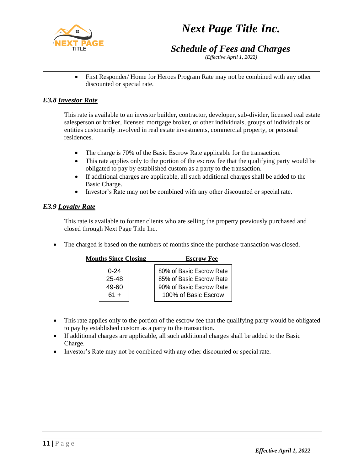

# *Schedule of Fees and Charges*

*(Effective April 1, 2022)*

• First Responder/Home for Heroes Program Rate may not be combined with any other discounted or special rate.

### *E3.8 Investor Rate*

This rate is available to an investor builder, contractor, developer, sub-divider, licensed real estate salesperson or broker, licensed mortgage broker, or other individuals, groups of individuals or entities customarily involved in real estate investments, commercial property, or personal residences.

- The charge is 70% of the Basic Escrow Rate applicable for the transaction.
- This rate applies only to the portion of the escrow fee that the qualifying party would be obligated to pay by established custom as a party to the transaction.
- If additional charges are applicable, all such additional charges shall be added to the Basic Charge.
- Investor's Rate may not be combined with any other discounted or special rate.

### *E3.9 Loyalty Rate*

This rate is available to former clients who are selling the property previously purchased and closed through Next Page Title Inc.

• The charged is based on the numbers of months since the purchase transaction was closed.

| <b>Months Since Closing</b> |          | <b>Escrow Fee</b>        |
|-----------------------------|----------|--------------------------|
|                             | $0 - 24$ | 80% of Basic Escrow Rate |
|                             | 25-48    | 85% of Basic Escrow Rate |
|                             | 49-60    | 90% of Basic Escrow Rate |
|                             | $61 +$   | 100% of Basic Escrow     |

- This rate applies only to the portion of the escrow fee that the qualifying party would be obligated to pay by established custom as a party to the transaction.
- If additional charges are applicable, all such additional charges shall be added to the Basic Charge.
- Investor's Rate may not be combined with any other discounted or special rate.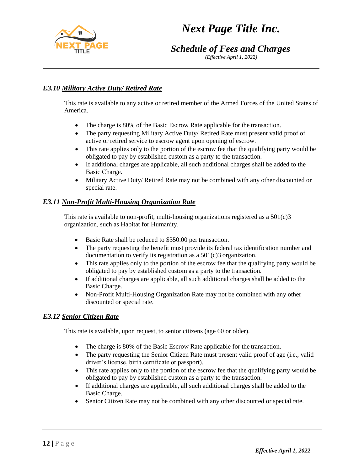

*(Effective April 1, 2022)*

## *E3.10 Military Active Duty/ Retired Rate*

This rate is available to any active or retired member of the Armed Forces of the United States of America.

- The charge is 80% of the Basic Escrow Rate applicable for the transaction.
- The party requesting Military Active Duty/ Retired Rate must present valid proof of active or retired service to escrow agent upon opening of escrow.
- This rate applies only to the portion of the escrow fee that the qualifying party would be obligated to pay by established custom as a party to the transaction.
- If additional charges are applicable, all such additional charges shall be added to the Basic Charge.
- Military Active Duty/ Retired Rate may not be combined with any other discounted or special rate.

### *E3.11 Non-Profit Multi-Housing Organization Rate*

This rate is available to non-profit, multi-housing organizations registered as a  $501(c)3$ organization, such as Habitat for Humanity.

- Basic Rate shall be reduced to \$350.00 per transaction.
- The party requesting the benefit must provide its federal tax identification number and documentation to verify its registration as a 501(c)3 organization.
- This rate applies only to the portion of the escrow fee that the qualifying party would be obligated to pay by established custom as a party to the transaction.
- If additional charges are applicable, all such additional charges shall be added to the Basic Charge.
- Non-Profit Multi-Housing Organization Rate may not be combined with any other discounted or special rate.

### *E3.12 Senior Citizen Rate*

This rate is available, upon request, to senior citizens (age 60 or older).

- The charge is 80% of the Basic Escrow Rate applicable for the transaction.
- The party requesting the Senior Citizen Rate must present valid proof of age (i.e., valid driver's license, birth certificate or passport).
- This rate applies only to the portion of the escrow fee that the qualifying party would be obligated to pay by established custom as a party to the transaction.
- If additional charges are applicable, all such additional charges shall be added to the Basic Charge.
- Senior Citizen Rate may not be combined with any other discounted or special rate.

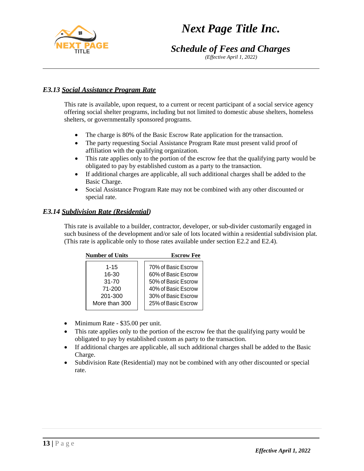# *Schedule of Fees and Charges*

*(Effective April 1, 2022)*

# *E3.13 Social Assistance Program Rate*

This rate is available, upon request, to a current or recent participant of a social service agency offering social shelter programs, including but not limited to domestic abuse shelters, homeless shelters, or governmentally sponsored programs.

- The charge is 80% of the Basic Escrow Rate application for the transaction.
- The party requesting Social Assistance Program Rate must present valid proof of affiliation with the qualifying organization.
- This rate applies only to the portion of the escrow fee that the qualifying party would be obligated to pay by established custom as a party to the transaction.
- If additional charges are applicable, all such additional charges shall be added to the Basic Charge.
- Social Assistance Program Rate may not be combined with any other discounted or special rate.

### *E3.14 Subdivision Rate (Residential)*

This rate is available to a builder, contractor, developer, or sub-divider customarily engaged in such business of the development and/or sale of lots located within a residential subdivision plat. (This rate is applicable only to those rates available under section E2.2 and E2.4).

| <b>Number of Units</b> |               | <b>Escrow Fee</b>   |
|------------------------|---------------|---------------------|
|                        | $1 - 15$      | 70% of Basic Escrow |
|                        | 16-30         | 60% of Basic Escrow |
|                        | $31 - 70$     | 50% of Basic Escrow |
|                        | 71-200        | 40% of Basic Escrow |
|                        | 201-300       | 30% of Basic Escrow |
|                        | More than 300 | 25% of Basic Escrow |
|                        |               |                     |

- Minimum Rate \$35.00 per unit.
- This rate applies only to the portion of the escrow fee that the qualifying party would be obligated to pay by established custom as party to the transaction.
- If additional charges are applicable, all such additional charges shall be added to the Basic Charge.
- Subdivision Rate (Residential) may not be combined with any other discounted or special rate.

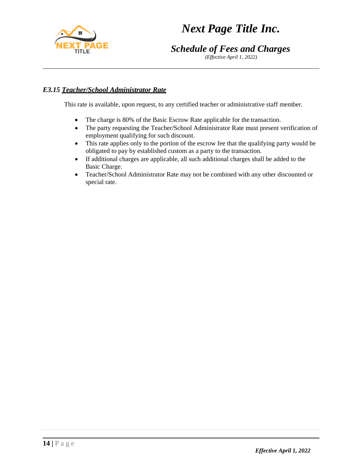

*(Effective April 1, 2022)*

# *E3.15 Teacher/School Administrator Rate*

This rate is available, upon request, to any certified teacher or administrative staff member.

- The charge is 80% of the Basic Escrow Rate applicable for the transaction.
- The party requesting the Teacher/School Administrator Rate must present verification of employment qualifying for such discount.
- This rate applies only to the portion of the escrow fee that the qualifying party would be obligated to pay by established custom as a party to the transaction.
- If additional charges are applicable, all such additional charges shall be added to the Basic Charge.
- Teacher/School Administrator Rate may not be combined with any other discounted or special rate.

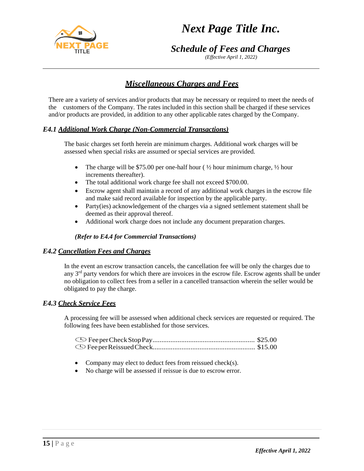

*(Effective April 1, 2022)*

# *Miscellaneous Charges and Fees*

There are a variety of services and/or products that may be necessary or required to meet the needs of the customers of the Company. The rates included in this section shall be charged if these services and/or products are provided, in addition to any other applicable rates charged by the Company.

### *E4.1 Additional Work Charge (Non-Commercial Transactions)*

The basic charges set forth herein are minimum charges. Additional work charges will be assessed when special risks are assumed or special services are provided.

- The charge will be \$75.00 per one-half hour ( $\frac{1}{2}$  hour minimum charge,  $\frac{1}{2}$  hour increments thereafter).
- The total additional work charge fee shall not exceed \$700.00.
- Escrow agent shall maintain a record of any additional work charges in the escrow file and make said record available for inspection by the applicable party.
- Party(ies) acknowledgement of the charges via a signed settlement statement shall be deemed as their approval thereof.
- Additional work charge does not include any document preparation charges.

#### *(Refer to E4.4 for Commercial Transactions)*

#### *E4.2 Cancellation Fees and Charges*

In the event an escrow transaction cancels, the cancellation fee will be only the charges due to any  $3<sup>rd</sup>$  party vendors for which there are invoices in the escrow file. Escrow agents shall be under no obligation to collect fees from a seller in a cancelled transaction wherein the seller would be obligated to pay the charge.

#### *E4.3 Check Service Fees*

A processing fee will be assessed when additional check services are requested or required. The following fees have been established for those services.

- Company may elect to deduct fees from reissued check(s).
- No charge will be assessed if reissue is due to escrow error.

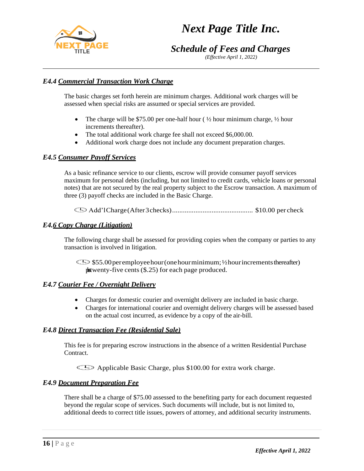# *Schedule of Fees and Charges*

*(Effective April 1, 2022)*

# *E4.4 Commercial Transaction Work Charge*

The basic charges set forth herein are minimum charges. Additional work charges will be assessed when special risks are assumed or special services are provided.

- The charge will be \$75.00 per one-half hour ( $\frac{1}{2}$  hour minimum charge,  $\frac{1}{2}$  hour increments thereafter).
- The total additional work charge fee shall not exceed \$6,000.00.
- Additional work charge does not include any document preparation charges.

#### *E4.5 Consumer Payoff Services*

As a basic refinance service to our clients, escrow will provide consumer payoff services maximum for personal debts (including, but not limited to credit cards, vehicle loans or personal notes) that are not secured by the real property subject to the Escrow transaction. A maximum of three (3) payoff checks are included in the Basic Charge.

Add'lCharge(After3checks)............................................. \$10.00 per check

#### *E4.6 Copy Charge (Litigation)*

The following charge shall be assessed for providing copies when the company or parties to any transaction is involved in litigation.

 $\bigcirc$ \$55.00 peremployee hour (one hour minimum; 1/2 hour increments thereafter)  $\mu$ stwenty-five cents (\$.25) for each page produced.

#### *E4.7 Courier Fee / Overnight Delivery*

- Charges for domestic courier and overnight delivery are included in basic charge.
- Charges for international courier and overnight delivery charges will be assessed based on the actual cost incurred, as evidence by a copy of the air-bill.

#### *E4.8 Direct Transaction Fee (Residential Sale)*

This fee is for preparing escrow instructions in the absence of a written Residential Purchase Contract.

Applicable Basic Charge, plus \$100.00 for extra work charge.

### *E4.9 Document Preparation Fee*

There shall be a charge of \$75.00 assessed to the benefiting party for each document requested beyond the regular scope of services. Such documents will include, but is not limited to, additional deeds to correct title issues, powers of attorney, and additional security instruments.

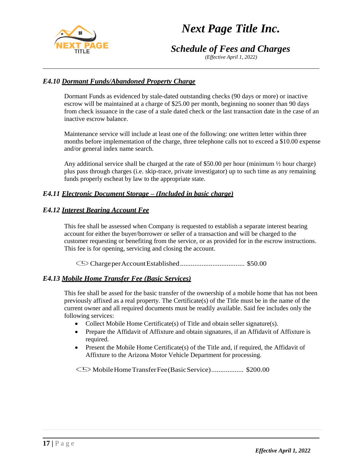

*Schedule of Fees and Charges*

*(Effective April 1, 2022)*

## *E4.10 Dormant Funds/Abandoned Property Charge*

Dormant Funds as evidenced by stale-dated outstanding checks (90 days or more) or inactive escrow will be maintained at a charge of \$25.00 per month, beginning no sooner than 90 days from check issuance in the case of a stale dated check or the last transaction date in the case of an inactive escrow balance.

Maintenance service will include at least one of the following: one written letter within three months before implementation of the charge, three telephone calls not to exceed a \$10.00 expense and/or general index name search.

Any additional service shall be charged at the rate of \$50.00 per hour (minimum ½ hour charge) plus pass through charges (i.e. skip-trace, private investigator) up to such time as any remaining funds properly escheat by law to the appropriate state.

### *E4.11 Electronic Document Storage – (Included in basic charge)*

### *E4.12 Interest Bearing Account Fee*

This fee shall be assessed when Company is requested to establish a separate interest bearing account for either the buyer/borrower or seller of a transaction and will be charged to the customer requesting or benefiting from the service, or as provided for in the escrow instructions. This fee is for opening, servicing and closing the account.

ChargeperAccountEstablished.................................... \$50.00

### *E4.13 Mobile Home Transfer Fee (Basic Services)*

This fee shall be assed for the basic transfer of the ownership of a mobile home that has not been previously affixed as a real property. The Certificate(s) of the Title must be in the name of the current owner and all required documents must be readily available. Said fee includes only the following services:

- Collect Mobile Home Certificate(s) of Title and obtain seller signature(s).
- Prepare the Affidavit of Affixture and obtain signatures, if an Affidavit of Affixture is required.
- Present the Mobile Home Certificate(s) of the Title and, if required, the Affidavit of Affixture to the Arizona Motor Vehicle Department for processing.

MobileHomeTransferFee(BasicService).................. \$200.00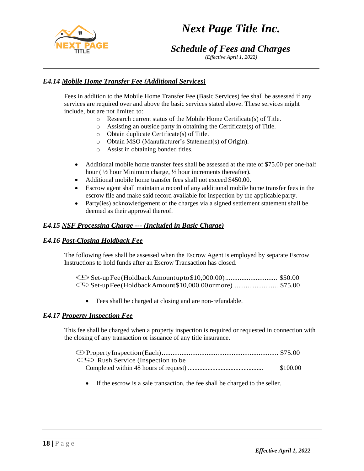

*Schedule of Fees and Charges*

*(Effective April 1, 2022)*

## *E4.14 Mobile Home Transfer Fee (Additional Services)*

Fees in addition to the Mobile Home Transfer Fee (Basic Services) fee shall be assessed if any services are required over and above the basic services stated above. These services might include, but are not limited to:

- o Research current status of the Mobile Home Certificate(s) of Title.
- o Assisting an outside party in obtaining the Certificate(s) of Title.
- o Obtain duplicate Certificate(s) of Title.
- o Obtain MSO (Manufacturer's Statement(s) of Origin).
- o Assist in obtaining bonded titles.
- Additional mobile home transfer fees shall be assessed at the rate of \$75.00 per one-half hour ( $\frac{1}{2}$  hour Minimum charge,  $\frac{1}{2}$  hour increments thereafter).
- Additional mobile home transfer fees shall not exceed \$450.00.
- Escrow agent shall maintain a record of any additional mobile home transfer fees in the escrow file and make said record available for inspection by the applicable party.
- Party(ies) acknowledgement of the charges via a signed settlement statement shall be deemed as their approval thereof.

## *E4.15 NSF Processing Charge --- (Included in Basic Charge)*

### *E4.16 Post-Closing Holdback Fee*

The following fees shall be assessed when the Escrow Agent is employed by separate Escrow Instructions to hold funds after an Escrow Transaction has closed.

• Fees shall be charged at closing and are non-refundable.

### *E4.17 Property Inspection Fee*

This fee shall be charged when a property inspection is required or requested in connection with the closing of any transaction or issuance of any title insurance.

| <b>ED</b> Rush Service (Inspection to be |          |
|------------------------------------------|----------|
|                                          | \$100.00 |

• If the escrow is a sale transaction, the fee shall be charged to the seller.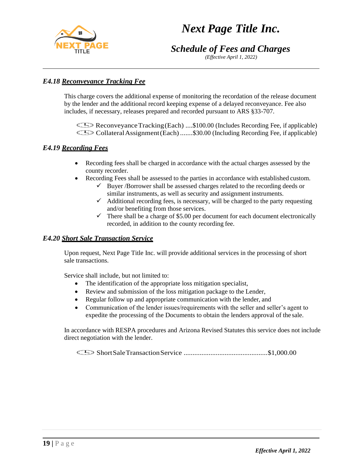

# *Schedule of Fees and Charges*

*(Effective April 1, 2022)*

# *E4.18 Reconveyance Tracking Fee*

This charge covers the additional expense of monitoring the recordation of the release document by the lender and the additional record keeping expense of a delayed reconveyance. Fee also includes, if necessary, releases prepared and recorded pursuant to ARS §33-707.

Reconveyance Tracking (Each) ....\$100.00 (Includes Recording Fee, if applicable) CollateralAssignment(Each).......\$30.00 (Including Recording Fee, if applicable)

## *E4.19 Recording Fees*

- Recording fees shall be charged in accordance with the actual charges assessed by the county recorder.
- Recording Fees shall be assessed to the parties in accordance with established custom.
	- $\checkmark$  Buyer /Borrower shall be assessed charges related to the recording deeds or similar instruments, as well as security and assignment instruments.
		- $\checkmark$  Additional recording fees, is necessary, will be charged to the party requesting and/or benefiting from those services.
		- $\checkmark$  There shall be a charge of \$5.00 per document for each document electronically recorded, in addition to the county recording fee.

## *E4.20 Short Sale Transaction Service*

Upon request, Next Page Title Inc. will provide additional services in the processing of short sale transactions.

Service shall include, but not limited to:

- The identification of the appropriate loss mitigation specialist,
- Review and submission of the loss mitigation package to the Lender,
- Regular follow up and appropriate communication with the lender, and
- Communication of the lender issues/requirements with the seller and seller's agent to expedite the processing of the Documents to obtain the lenders approval of the sale.

In accordance with RESPA procedures and Arizona Revised Statutes this service does not include direct negotiation with the lender.

ShortSaleTransactionService ...............................................\$1,000.00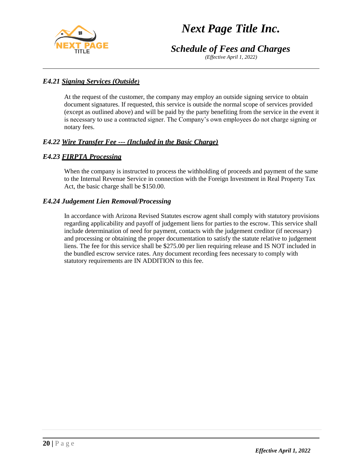

*Schedule of Fees and Charges*

*(Effective April 1, 2022)*

# *E4.21 Signing Services (Outside)*

At the request of the customer, the company may employ an outside signing service to obtain document signatures. If requested, this service is outside the normal scope of services provided (except as outlined above) and will be paid by the party benefiting from the service in the event it is necessary to use a contracted signer. The Company's own employees do not charge signing or notary fees.

# *E4.22 Wire Transfer Fee --- (Included in the Basic Charge)*

# *E4.23 FIRPTA Processing*

When the company is instructed to process the withholding of proceeds and payment of the same to the Internal Revenue Service in connection with the Foreign Investment in Real Property Tax Act, the basic charge shall be \$150.00.

## *E4.24 Judgement Lien Removal/Processing*

In accordance with Arizona Revised Statutes escrow agent shall comply with statutory provisions regarding applicability and payoff of judgement liens for parties to the escrow. This service shall include determination of need for payment, contacts with the judgement creditor (if necessary) and processing or obtaining the proper documentation to satisfy the statute relative to judgement liens. The fee for this service shall be \$275.00 per lien requiring release and IS NOT included in the bundled escrow service rates. Any document recording fees necessary to comply with statutory requirements are IN ADDITION to this fee.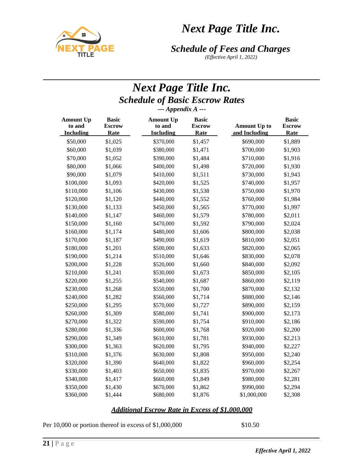



*(Effective April 1, 2022)*

# *Next Page Title Inc. Schedule of Basic Escrow Rates --- Appendix A ---*

| <b>Amount Up</b><br>to and<br><b>Including</b> | <b>Basic</b><br><b>Escrow</b><br>Rate | <b>Amount Up</b><br>to and<br><b>Including</b> | <b>Basic</b><br><b>Escrow</b><br>Rate | <b>Amount Up to</b><br>and Including | <b>Basic</b><br><b>Escrow</b><br>Rate |
|------------------------------------------------|---------------------------------------|------------------------------------------------|---------------------------------------|--------------------------------------|---------------------------------------|
| \$50,000                                       | \$1,025                               | \$370,000                                      | \$1,457                               | \$690,000                            | \$1,889                               |
| \$60,000                                       | \$1,039                               | \$380,000                                      | \$1,471                               | \$700,000                            | \$1,903                               |
| \$70,000                                       | \$1,052                               | \$390,000                                      | \$1,484                               | \$710,000                            | \$1,916                               |
| \$80,000                                       | \$1,066                               | \$400,000                                      | \$1,498                               | \$720,000                            | \$1,930                               |
| \$90,000                                       | \$1,079                               | \$410,000                                      | \$1,511                               | \$730,000                            | \$1,943                               |
| \$100,000                                      | \$1,093                               | \$420,000                                      | \$1,525                               | \$740,000                            | \$1,957                               |
| \$110,000                                      | \$1,106                               | \$430,000                                      | \$1,538                               | \$750,000                            | \$1,970                               |
| \$120,000                                      | \$1,120                               | \$440,000                                      | \$1,552                               | \$760,000                            | \$1,984                               |
| \$130,000                                      | \$1,133                               | \$450,000                                      | \$1,565                               | \$770,000                            | \$1,997                               |
| \$140,000                                      | \$1,147                               | \$460,000                                      | \$1,579                               | \$780,000                            | \$2,011                               |
| \$150,000                                      | \$1,160                               | \$470,000                                      | \$1,592                               | \$790,000                            | \$2,024                               |
| \$160,000                                      | \$1,174                               | \$480,000                                      | \$1,606                               | \$800,000                            | \$2,038                               |
| \$170,000                                      | \$1,187                               | \$490,000                                      | \$1,619                               | \$810,000                            | \$2,051                               |
| \$180,000                                      | \$1,201                               | \$500,000                                      | \$1,633                               | \$820,000                            | \$2,065                               |
| \$190,000                                      | \$1,214                               | \$510,000                                      | \$1,646                               | \$830,000                            | \$2,078                               |
| \$200,000                                      | \$1,228                               | \$520,000                                      | \$1,660                               | \$840,000                            | \$2,092                               |
| \$210,000                                      | \$1,241                               | \$530,000                                      | \$1,673                               | \$850,000                            | \$2,105                               |
| \$220,000                                      | \$1,255                               | \$540,000                                      | \$1,687                               | \$860,000                            | \$2,119                               |
| \$230,000                                      | \$1,268                               | \$550,000                                      | \$1,700                               | \$870,000                            | \$2,132                               |
| \$240,000                                      | \$1,282                               | \$560,000                                      | \$1,714                               | \$880,000                            | \$2,146                               |
| \$250,000                                      | \$1,295                               | \$570,000                                      | \$1,727                               | \$890,000                            | \$2,159                               |
| \$260,000                                      | \$1,309                               | \$580,000                                      | \$1,741                               | \$900,000                            | \$2,173                               |
| \$270,000                                      | \$1,322                               | \$590,000                                      | \$1,754                               | \$910,000                            | \$2,186                               |
| \$280,000                                      | \$1,336                               | \$600,000                                      | \$1,768                               | \$920,000                            | \$2,200                               |
| \$290,000                                      | \$1,349                               | \$610,000                                      | \$1,781                               | \$930,000                            | \$2,213                               |
| \$300,000                                      | \$1,363                               | \$620,000                                      | \$1,795                               | \$940,000                            | \$2,227                               |
| \$310,000                                      | \$1,376                               | \$630,000                                      | \$1,808                               | \$950,000                            | \$2,240                               |
| \$320,000                                      | \$1,390                               | \$640,000                                      | \$1,822                               | \$960,000                            | \$2,254                               |
| \$330,000                                      | \$1,403                               | \$650,000                                      | \$1,835                               | \$970,000                            | \$2,267                               |
| \$340,000                                      | \$1,417                               | \$660,000                                      | \$1,849                               | \$980,000                            | \$2,281                               |
| \$350,000                                      | \$1,430                               | \$670,000                                      | \$1,862                               | \$990,000                            | \$2,294                               |
| \$360,000                                      | \$1,444                               | \$680,000                                      | \$1,876                               | \$1,000,000                          | \$2,308                               |

### *Additional Escrow Rate in Excess of \$1,000,000*

Per 10,000 or portion thereof in excess of \$1,000,000 \$10.50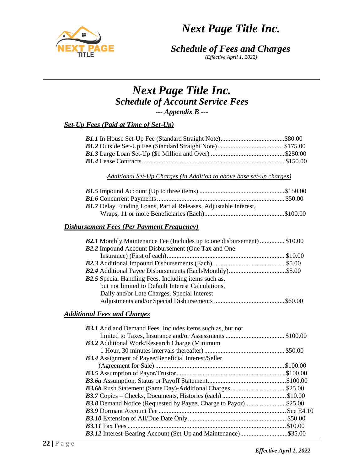



*(Effective April 1, 2022)*

# *Next Page Title Inc. Schedule of Account Service Fees --- Appendix B ---*

### *Set-Up Fees (Paid at Time of Set-Up)*

*Additional Set-Up Charges (In Addition to above base set-up charges)*

| <b>B1.7</b> Delay Funding Loans, Partial Releases, Adjustable Interest, |  |
|-------------------------------------------------------------------------|--|
|                                                                         |  |

#### *Disbursement Fees (Per Payment Frequency)*

| <b>B2.1</b> Monthly Maintenance Fee (Includes up to one disbursement)  \$10.00 |  |
|--------------------------------------------------------------------------------|--|
| <b>B2.2</b> Impound Account Disbursement (One Tax and One                      |  |
|                                                                                |  |
|                                                                                |  |
|                                                                                |  |
| <b>B2.5</b> Special Handling Fees. Including items such as,                    |  |
| but not limited to Default Interest Calculations,                              |  |
| Daily and/or Late Charges, Special Interest                                    |  |
|                                                                                |  |

### *Additional Fees and Charges*

| B3.1 Add and Demand Fees. Includes items such as, but not  |  |
|------------------------------------------------------------|--|
|                                                            |  |
| <b>B3.2</b> Additional Work/Research Charge (Minimum       |  |
|                                                            |  |
| <b>B3.4</b> Assignment of Payee/Beneficial Interest/Seller |  |
|                                                            |  |
|                                                            |  |
|                                                            |  |
|                                                            |  |
|                                                            |  |
|                                                            |  |
|                                                            |  |
|                                                            |  |
|                                                            |  |
|                                                            |  |